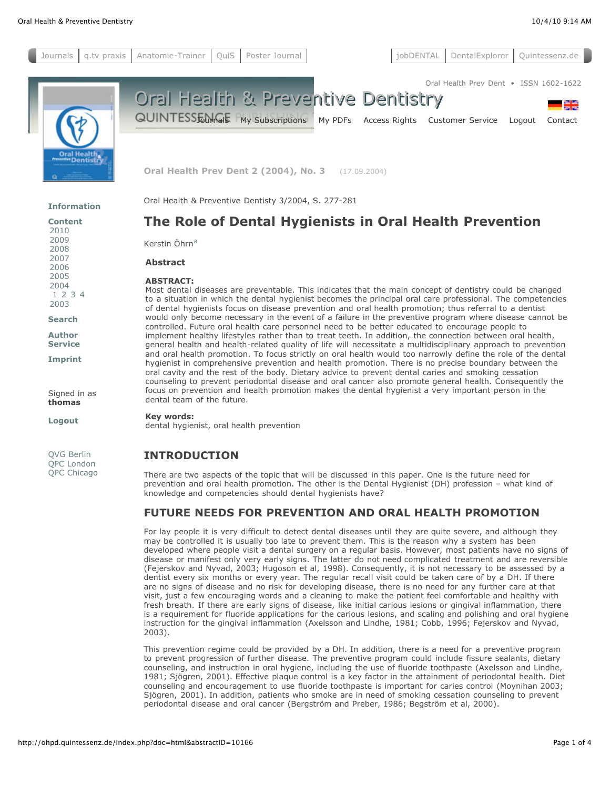

**Oral Health Prev Dent 2 (2004), No. 3** (17.09.2004)

Oral Health & Preventive Dentisty 3/2004, S. 277-281

**[Information](http://ohpd.quintessenz.de/index.php?doc=home)**

Signed in as **thomas [Logout](http://ohpd.quintessenz.de/index.php?doc=logout)**

QVG [Berlin](http://www.quintessenz.de/) QPC [London](http://www.quintpub.co.uk/) QPC [Chicago](http://www.quintpub.com/)

# **The Role of Dental Hygienists in Oral Health Prevention**

Kerstin Öhrn<sup>[a](http://ohpd.quintessenz.de/index.php?doc=html&abstractID=10166#oehrn.ht_fn_a)</sup>

**Abstract**

#### **ABSTRACT:**

Most dental diseases are preventable. This indicates that the main concept of dentistry could be changed to a situation in which the dental hygienist becomes the principal oral care professional. The competencies of dental hygienists focus on disease prevention and oral health promotion; thus referral to a dentist would only become necessary in the event of a failure in the preventive program where disease cannot be controlled. Future oral health care personnel need to be better educated to encourage people to implement healthy lifestyles rather than to treat teeth. In addition, the connection between oral health, general health and health-related quality of life will necessitate a multidisciplinary approach to prevention and oral health promotion. To focus strictly on oral health would too narrowly define the role of the dental hygienist in comprehensive prevention and health promotion. There is no precise boundary between the oral cavity and the rest of the body. Dietary advice to prevent dental caries and smoking cessation counseling to prevent periodontal disease and oral cancer also promote general health. Consequently the focus on prevention and health promotion makes the dental hygienist a very important person in the dental team of the future.

#### **Key words:**

dental hygienist, oral health prevention

## **INTRODUCTION**

There are two aspects of the topic that will be discussed in this paper. One is the future need for prevention and oral health promotion. The other is the Dental Hygienist (DH) profession – what kind of knowledge and competencies should dental hygienists have?

### **FUTURE NEEDS FOR PREVENTION AND ORAL HEALTH PROMOTION**

For lay people it is very difficult to detect dental diseases until they are quite severe, and although they may be controlled it is usually too late to prevent them. This is the reason why a system has been developed where people visit a dental surgery on a regular basis. However, most patients have no signs of disease or manifest only very early signs. The latter do not need complicated treatment and are reversible (Fejerskov and Nyvad, 2003; Hugoson et al, 1998). Consequently, it is not necessary to be assessed by a dentist every six months or every year. The regular recall visit could be taken care of by a DH. If there are no signs of disease and no risk for developing disease, there is no need for any further care at that visit, just a few encouraging words and a cleaning to make the patient feel comfortable and healthy with fresh breath. If there are early signs of disease, like initial carious lesions or gingival inflammation, there is a requirement for fluoride applications for the carious lesions, and scaling and polishing and oral hygiene instruction for the gingival inflammation (Axelsson and Lindhe, 1981; Cobb, 1996; Fejerskov and Nyvad, 2003).

This prevention regime could be provided by a DH. In addition, there is a need for a preventive program to prevent progression of further disease. The preventive program could include fissure sealants, dietary counseling, and instruction in oral hygiene, including the use of fluoride toothpaste (Axelsson and Lindhe, 1981; Sjögren, 2001). Effective plaque control is a key factor in the attainment of periodontal health. Diet counseling and encouragement to use fluoride toothpaste is important for caries control (Moynihan 2003; Sjögren, 2001). In addition, patients who smoke are in need of smoking cessation counseling to prevent periodontal disease and oral cancer (Bergström and Preber, 1986; Begström et al, 2000).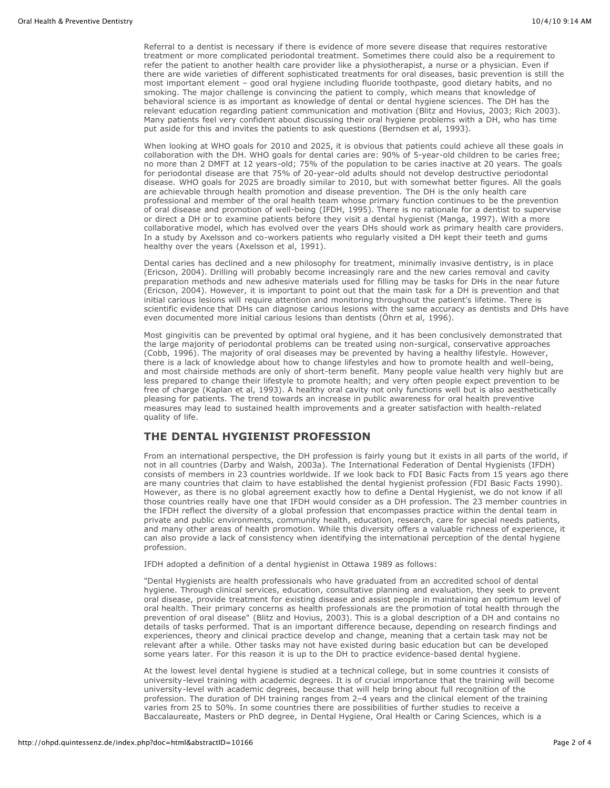Referral to a dentist is necessary if there is evidence of more severe disease that requires restorative treatment or more complicated periodontal treatment. Sometimes there could also be a requirement to refer the patient to another health care provider like a physiotherapist, a nurse or a physician. Even if there are wide varieties of different sophisticated treatments for oral diseases, basic prevention is still the most important element – good oral hygiene including fluoride toothpaste, good dietary habits, and no smoking. The major challenge is convincing the patient to comply, which means that knowledge of behavioral science is as important as knowledge of dental or dental hygiene sciences. The DH has the relevant education regarding patient communication and motivation (Blitz and Hovius, 2003; Rich 2003). Many patients feel very confident about discussing their oral hygiene problems with a DH, who has time put aside for this and invites the patients to ask questions (Berndsen et al, 1993).

When looking at WHO goals for 2010 and 2025, it is obvious that patients could achieve all these goals in collaboration with the DH. WHO goals for dental caries are: 90% of 5-year-old children to be caries free; no more than 2 DMFT at 12 years-old; 75% of the population to be caries inactive at 20 years. The goals for periodontal disease are that 75% of 20-year-old adults should not develop destructive periodontal disease. WHO goals for 2025 are broadly similar to 2010, but with somewhat better figures. All the goals are achievable through health promotion and disease prevention. The DH is the only health care professional and member of the oral health team whose primary function continues to be the prevention of oral disease and promotion of well-being (IFDH, 1995). There is no rationale for a dentist to supervise or direct a DH or to examine patients before they visit a dental hygienist (Manga, 1997). With a more collaborative model, which has evolved over the years DHs should work as primary health care providers. In a study by Axelsson and co-workers patients who regularly visited a DH kept their teeth and gums healthy over the years (Axelsson et al, 1991).

Dental caries has declined and a new philosophy for treatment, minimally invasive dentistry, is in place (Ericson, 2004). Drilling will probably become increasingly rare and the new caries removal and cavity preparation methods and new adhesive materials used for filling may be tasks for DHs in the near future (Ericson, 2004). However, it is important to point out that the main task for a DH is prevention and that initial carious lesions will require attention and monitoring throughout the patient's lifetime. There is scientific evidence that DHs can diagnose carious lesions with the same accuracy as dentists and DHs have even documented more initial carious lesions than dentists (Öhrn et al, 1996).

Most gingivitis can be prevented by optimal oral hygiene, and it has been conclusively demonstrated that the large majority of periodontal problems can be treated using non-surgical, conservative approaches (Cobb, 1996). The majority of oral diseases may be prevented by having a healthy lifestyle. However, there is a lack of knowledge about how to change lifestyles and how to promote health and well-being, and most chairside methods are only of short-term benefit. Many people value health very highly but are less prepared to change their lifestyle to promote health; and very often people expect prevention to be free of charge (Kaplan et al, 1993). A healthy oral cavity not only functions well but is also aesthetically pleasing for patients. The trend towards an increase in public awareness for oral health preventive measures may lead to sustained health improvements and a greater satisfaction with health-related quality of life.

### **THE DENTAL HYGIENIST PROFESSION**

From an international perspective, the DH profession is fairly young but it exists in all parts of the world, if not in all countries (Darby and Walsh, 2003a). The International Federation of Dental Hygienists (IFDH) consists of members in 23 countries worldwide. If we look back to FDI Basic Facts from 15 years ago there are many countries that claim to have established the dental hygienist profession (FDI Basic Facts 1990). However, as there is no global agreement exactly how to define a Dental Hygienist, we do not know if all those countries really have one that IFDH would consider as a DH profession. The 23 member countries in the IFDH reflect the diversity of a global profession that encompasses practice within the dental team in private and public environments, community health, education, research, care for special needs patients, and many other areas of health promotion. While this diversity offers a valuable richness of experience, it can also provide a lack of consistency when identifying the international perception of the dental hygiene profession.

IFDH adopted a definition of a dental hygienist in Ottawa 1989 as follows:

"Dental Hygienists are health professionals who have graduated from an accredited school of dental hygiene. Through clinical services, education, consultative planning and evaluation, they seek to prevent oral disease, provide treatment for existing disease and assist people in maintaining an optimum level of oral health. Their primary concerns as health professionals are the promotion of total health through the prevention of oral disease" (Blitz and Hovius, 2003). This is a global description of a DH and contains no details of tasks performed. That is an important difference because, depending on research findings and experiences, theory and clinical practice develop and change, meaning that a certain task may not be relevant after a while. Other tasks may not have existed during basic education but can be developed some years later. For this reason it is up to the DH to practice evidence-based dental hygiene.

At the lowest level dental hygiene is studied at a technical college, but in some countries it consists of university-level training with academic degrees. It is of crucial importance that the training will become university-level with academic degrees, because that will help bring about full recognition of the profession. The duration of DH training ranges from 2–4 years and the clinical element of the training varies from 25 to 50%. In some countries there are possibilities of further studies to receive a Baccalaureate, Masters or PhD degree, in Dental Hygiene, Oral Health or Caring Sciences, which is a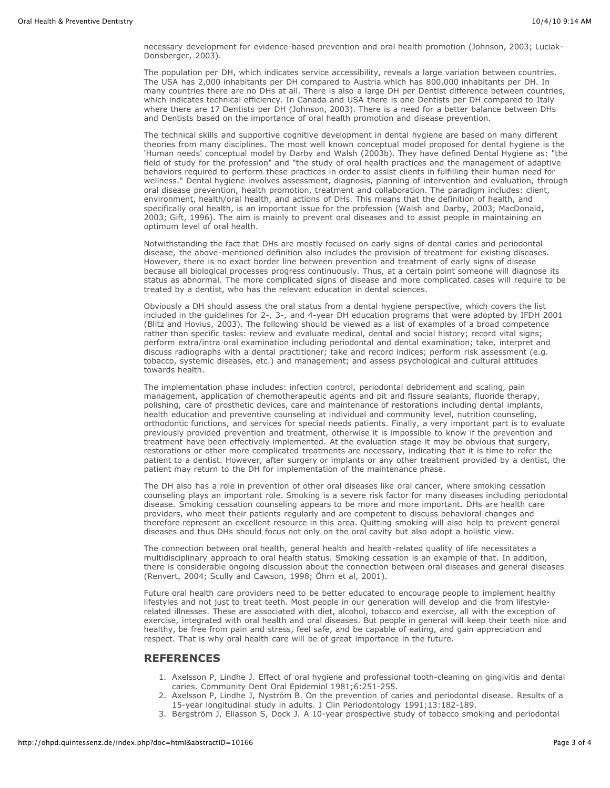necessary development for evidence-based prevention and oral health promotion (Johnson, 2003; Luciak-Donsberger, 2003).

The population per DH, which indicates service accessibility, reveals a large variation between countries. The USA has 2,000 inhabitants per DH compared to Austria which has 800,000 inhabitants per DH. In many countries there are no DHs at all. There is also a large DH per Dentist difference between countries, which indicates technical efficiency. In Canada and USA there is one Dentists per DH compared to Italy where there are 17 Dentists per DH (Johnson, 2003). There is a need for a better balance between DHs and Dentists based on the importance of oral health promotion and disease prevention.

The technical skills and supportive cognitive development in dental hygiene are based on many different theories from many disciplines. The most well known conceptual model proposed for dental hygiene is the 'Human needs' conceptual model by Darby and Walsh (2003b). They have defined Dental Hygiene as: "the field of study for the profession" and "the study of oral health practices and the management of adaptive behaviors required to perform these practices in order to assist clients in fulfilling their human need for wellness." Dental hygiene involves assessment, diagnosis, planning of intervention and evaluation, through oral disease prevention, health promotion, treatment and collaboration. The paradigm includes: client, environment, health/oral health, and actions of DHs. This means that the definition of health, and specifically oral health, is an important issue for the profession (Walsh and Darby, 2003; MacDonald, 2003; Gift, 1996). The aim is mainly to prevent oral diseases and to assist people in maintaining an optimum level of oral health.

Notwithstanding the fact that DHs are mostly focused on early signs of dental caries and periodontal disease, the above-mentioned definition also includes the provision of treatment for existing diseases. However, there is no exact border line between prevention and treatment of early signs of disease because all biological processes progress continuously. Thus, at a certain point someone will diagnose its status as abnormal. The more complicated signs of disease and more complicated cases will require to be treated by a dentist, who has the relevant education in dental sciences.

Obviously a DH should assess the oral status from a dental hygiene perspective, which covers the list included in the guidelines for 2-, 3-, and 4-year DH education programs that were adopted by IFDH 2001 (Blitz and Hovius, 2003). The following should be viewed as a list of examples of a broad competence rather than specific tasks: review and evaluate medical, dental and social history; record vital signs; perform extra/intra oral examination including periodontal and dental examination; take, interpret and discuss radiographs with a dental practitioner; take and record indices; perform risk assessment (e.g. tobacco, systemic diseases, etc.) and management; and assess psychological and cultural attitudes towards health.

The implementation phase includes: infection control, periodontal debridement and scaling, pain management, application of chemotherapeutic agents and pit and fissure sealants, fluoride therapy, polishing, care of prosthetic devices, care and maintenance of restorations including dental implants, health education and preventive counseling at individual and community level, nutrition counseling, orthodontic functions, and services for special needs patients. Finally, a very important part is to evaluate previously provided prevention and treatment, otherwise it is impossible to know if the prevention and treatment have been effectively implemented. At the evaluation stage it may be obvious that surgery, restorations or other more complicated treatments are necessary, indicating that it is time to refer the patient to a dentist. However, after surgery or implants or any other treatment provided by a dentist, the patient may return to the DH for implementation of the maintenance phase.

The DH also has a role in prevention of other oral diseases like oral cancer, where smoking cessation counseling plays an important role. Smoking is a severe risk factor for many diseases including periodontal disease. Smoking cessation counseling appears to be more and more important. DHs are health care providers, who meet their patients regularly and are competent to discuss behavioral changes and therefore represent an excellent resource in this area. Quitting smoking will also help to prevent general diseases and thus DHs should focus not only on the oral cavity but also adopt a holistic view.

The connection between oral health, general health and health-related quality of life necessitates a multidisciplinary approach to oral health status. Smoking cessation is an example of that. In addition, there is considerable ongoing discussion about the connection between oral diseases and general diseases (Renvert, 2004; Scully and Cawson, 1998; Öhrn et al, 2001).

Future oral health care providers need to be better educated to encourage people to implement healthy lifestyles and not just to treat teeth. Most people in our generation will develop and die from lifestylerelated illnesses. These are associated with diet, alcohol, tobacco and exercise, all with the exception of exercise, integrated with oral health and oral diseases. But people in general will keep their teeth nice and healthy, be free from pain and stress, feel safe, and be capable of eating, and gain appreciation and respect. That is why oral health care will be of great importance in the future.

### **REFERENCES**

- 1. Axelsson P, Lindhe J. Effect of oral hygiene and professional tooth-cleaning on gingivitis and dental caries. Community Dent Oral Epidemiol 1981;6:251-255.
- 2. Axelsson P, Lindhe J, Nyström B. On the prevention of caries and periodontal disease. Results of a 15-year longitudinal study in adults. J Clin Periodontology 1991;13:182-189.
- 3. Bergström J, Eliasson S, Dock J. A 10-year prospective study of tobacco smoking and periodontal